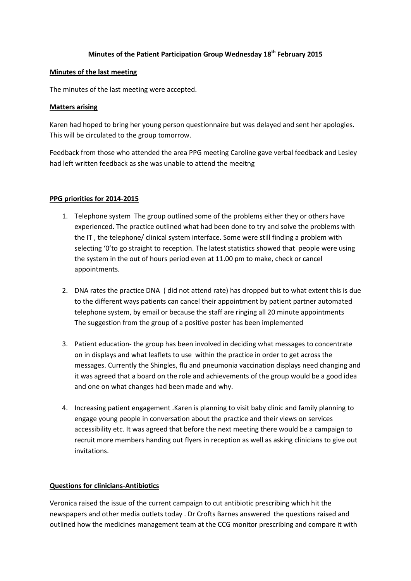# **Minutes of the Patient Participation Group Wednesday 18th February 2015**

#### **Minutes of the last meeting**

The minutes of the last meeting were accepted.

#### **Matters arising**

Karen had hoped to bring her young person questionnaire but was delayed and sent her apologies. This will be circulated to the group tomorrow.

Feedback from those who attended the area PPG meeting Caroline gave verbal feedback and Lesley had left written feedback as she was unable to attend the meeitng

### **PPG priorities for 2014-2015**

- 1. Telephone system The group outlined some of the problems either they or others have experienced. The practice outlined what had been done to try and solve the problems with the IT , the telephone/ clinical system interface. Some were still finding a problem with selecting '0'to go straight to reception. The latest statistics showed that people were using the system in the out of hours period even at 11.00 pm to make, check or cancel appointments.
- 2. DNA rates the practice DNA ( did not attend rate) has dropped but to what extent this is due to the different ways patients can cancel their appointment by patient partner automated telephone system, by email or because the staff are ringing all 20 minute appointments The suggestion from the group of a positive poster has been implemented
- 3. Patient education- the group has been involved in deciding what messages to concentrate on in displays and what leaflets to use within the practice in order to get across the messages. Currently the Shingles, flu and pneumonia vaccination displays need changing and it was agreed that a board on the role and achievements of the group would be a good idea and one on what changes had been made and why.
- 4. Increasing patient engagement .Karen is planning to visit baby clinic and family planning to engage young people in conversation about the practice and their views on services accessibility etc. It was agreed that before the next meeting there would be a campaign to recruit more members handing out flyers in reception as well as asking clinicians to give out invitations.

### **Questions for clinicians-Antibiotics**

Veronica raised the issue of the current campaign to cut antibiotic prescribing which hit the newspapers and other media outlets today . Dr Crofts Barnes answered the questions raised and outlined how the medicines management team at the CCG monitor prescribing and compare it with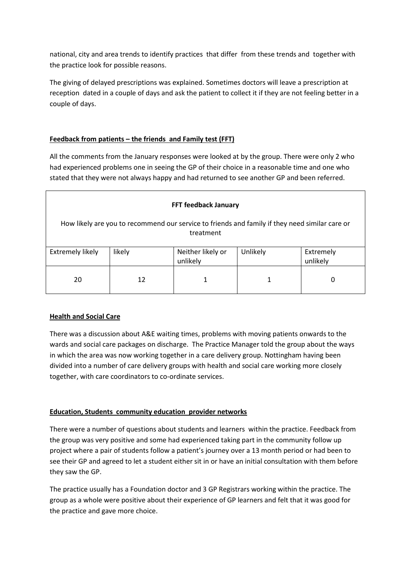national, city and area trends to identify practices that differ from these trends and together with the practice look for possible reasons.

The giving of delayed prescriptions was explained. Sometimes doctors will leave a prescription at reception dated in a couple of days and ask the patient to collect it if they are not feeling better in a couple of days.

# **Feedback from patients – the friends and Family test (FFT)**

All the comments from the January responses were looked at by the group. There were only 2 who had experienced problems one in seeing the GP of their choice in a reasonable time and one who stated that they were not always happy and had returned to see another GP and been referred.

| <b>FFT feedback January</b>                                                                                 |        |                               |          |                       |
|-------------------------------------------------------------------------------------------------------------|--------|-------------------------------|----------|-----------------------|
| How likely are you to recommend our service to friends and family if they need similar care or<br>treatment |        |                               |          |                       |
| <b>Extremely likely</b>                                                                                     | likely | Neither likely or<br>unlikely | Unlikely | Extremely<br>unlikely |
| 20                                                                                                          | 12     |                               |          | 0                     |

# **Health and Social Care**

There was a discussion about A&E waiting times, problems with moving patients onwards to the wards and social care packages on discharge. The Practice Manager told the group about the ways in which the area was now working together in a care delivery group. Nottingham having been divided into a number of care delivery groups with health and social care working more closely together, with care coordinators to co-ordinate services.

# **Education, Students community education provider networks**

There were a number of questions about students and learners within the practice. Feedback from the group was very positive and some had experienced taking part in the community follow up project where a pair of students follow a patient's journey over a 13 month period or had been to see their GP and agreed to let a student either sit in or have an initial consultation with them before they saw the GP.

The practice usually has a Foundation doctor and 3 GP Registrars working within the practice. The group as a whole were positive about their experience of GP learners and felt that it was good for the practice and gave more choice.